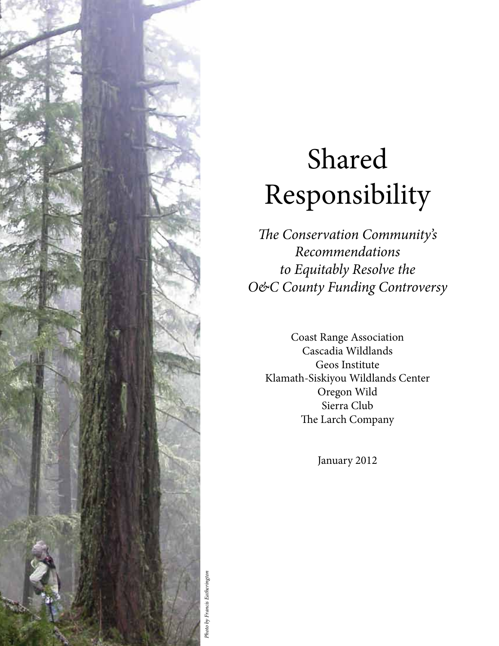

# Shared Responsibility

The Conservation Community's Recommendations to Equitably Resolve the O&C County Funding Controversy

Coast Range Association Cascadia Wildlands Geos Institute Klamath-Siskiyou Wildlands Center Oregon Wild Sierra Club The Larch Company

January 2012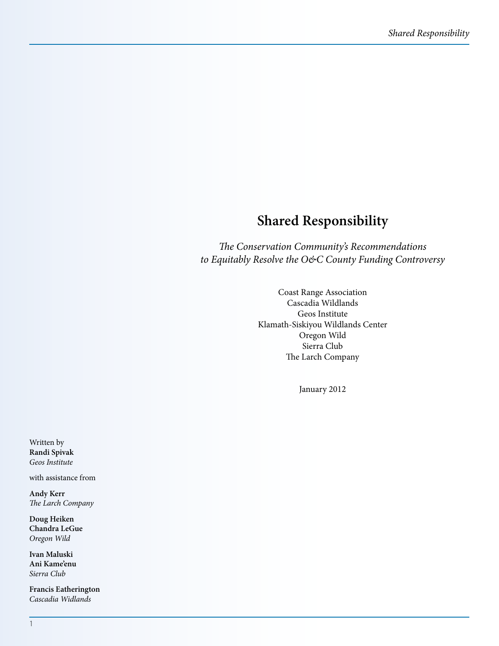## **Shared Responsibility**

The Conservation Community's Recommendations to Equitably Resolve the O&C County Funding Controversy

> Coast Range Association Cascadia Wildlands Geos Institute Klamath-Siskiyou Wildlands Center Oregon Wild Sierra Club The Larch Company

> > January 2012

Written by **Randi Spivak**  Geos Institute

with assistance from

**Andy Kerr** The Larch Company

**Doug Heiken Chandra LeGue** Oregon Wild

**Ivan Maluski Ani Kame'enu** Sierra Club

**Francis Eatherington** Cascadia Widlands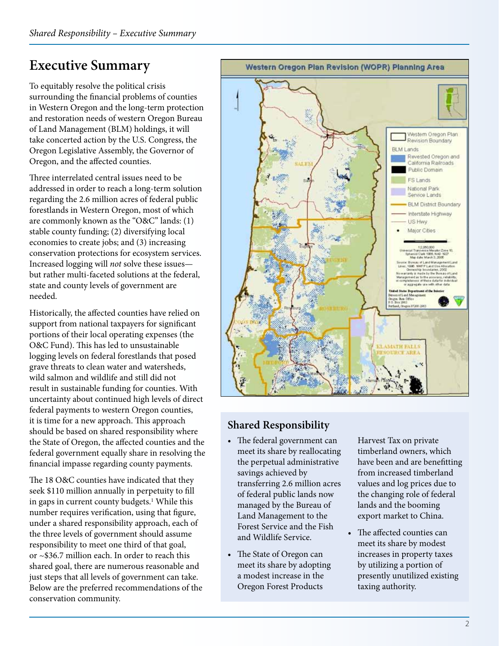# **Executive Summary**

To equitably resolve the political crisis surrounding the financial problems of counties in Western Oregon and the long-term protection and restoration needs of western Oregon Bureau of Land Management (BLM) holdings, it will take concerted action by the U.S. Congress, the Oregon Legislative Assembly, the Governor of Oregon, and the affected counties.

Three interrelated central issues need to be addressed in order to reach a long-term solution regarding the 2.6 million acres of federal public forestlands in Western Oregon, most of which are commonly known as the "O&C" lands: (1) stable county funding; (2) diversifying local economies to create jobs; and (3) increasing conservation protections for ecosystem services. Increased logging will not solve these issues but rather multi-faceted solutions at the federal, state and county levels of government are needed.

Historically, the affected counties have relied on support from national taxpayers for significant portions of their local operating expenses (the O&C Fund). This has led to unsustainable logging levels on federal forestlands that posed grave threats to clean water and watersheds, wild salmon and wildlife and still did not result in sustainable funding for counties. With uncertainty about continued high levels of direct federal payments to western Oregon counties, it is time for a new approach. This approach should be based on shared responsibility where the State of Oregon, the affected counties and the federal government equally share in resolving the financial impasse regarding county payments.

The 18 O&C counties have indicated that they seek \$110 million annually in perpetuity to fill in gaps in current county budgets.<sup>1</sup> While this number requires verification, using that figure, under a shared responsibility approach, each of the three levels of government should assume responsibility to meet one third of that goal, or ~\$36.7 million each. In order to reach this shared goal, there are numerous reasonable and just steps that all levels of government can take. Below are the preferred recommendations of the conservation community.



#### **Shared Responsibility**

- The federal government can meet its share by reallocating the perpetual administrative savings achieved by transferring 2.6 million acres of federal public lands now managed by the Bureau of Land Management to the Forest Service and the Fish and Wildlife Service.
- The State of Oregon can meet its share by adopting a modest increase in the Oregon Forest Products

Harvest Tax on private timberland owners, which have been and are benefitting from increased timberland values and log prices due to the changing role of federal lands and the booming export market to China.

 $\bullet$  The affected counties can meet its share by modest increases in property taxes by utilizing a portion of presently unutilized existing taxing authority.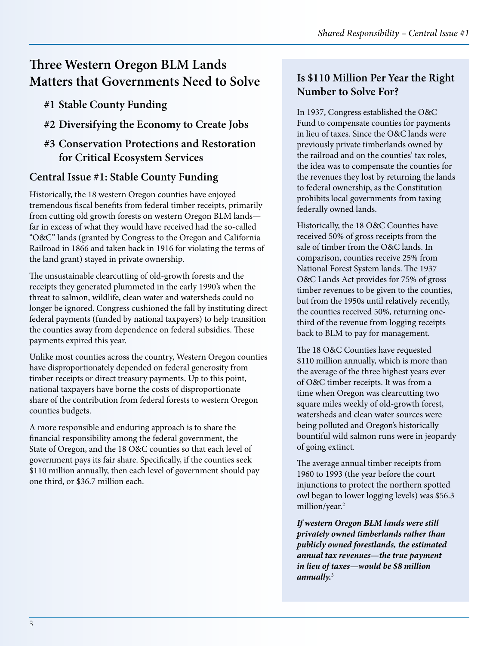## **Three Western Oregon BLM Lands Matters that Governments Need to Solve**

- **#1 Stable County Funding**
- **#2 Diversifying the Economy to Create Jobs**

#### **#3 Conservation Protections and Restoration for Critical Ecosystem Services**

#### **Central Issue #1: Stable County Funding**

Historically, the 18 western Oregon counties have enjoyed tremendous fiscal benefits from federal timber receipts, primarily from cutting old growth forests on western Oregon BLM lands far in excess of what they would have received had the so-called "O&C" lands (granted by Congress to the Oregon and California Railroad in 1866 and taken back in 1916 for violating the terms of the land grant) stayed in private ownership.

The unsustainable clearcutting of old-growth forests and the receipts they generated plummeted in the early 1990's when the threat to salmon, wildlife, clean water and watersheds could no longer be ignored. Congress cushioned the fall by instituting direct federal payments (funded by national taxpayers) to help transition the counties away from dependence on federal subsidies. These payments expired this year.

Unlike most counties across the country, Western Oregon counties have disproportionately depended on federal generosity from timber receipts or direct treasury payments. Up to this point, national taxpayers have borne the costs of disproportionate share of the contribution from federal forests to western Oregon counties budgets.

A more responsible and enduring approach is to share the financial responsibility among the federal government, the State of Oregon, and the 18 O&C counties so that each level of government pays its fair share. Specifically, if the counties seek \$110 million annually, then each level of government should pay one third, or \$36.7 million each.

#### **Is \$110 Million Per Year the Right Number to Solve For?**

In 1937, Congress established the O&C Fund to compensate counties for payments in lieu of taxes. Since the O&C lands were previously private timberlands owned by the railroad and on the counties' tax roles, the idea was to compensate the counties for the revenues they lost by returning the lands to federal ownership, as the Constitution prohibits local governments from taxing federally owned lands.

Historically, the 18 O&C Counties have received 50% of gross receipts from the sale of timber from the O&C lands. In comparison, counties receive 25% from National Forest System lands. The 1937 O&C Lands Act provides for 75% of gross timber revenues to be given to the counties, but from the 1950s until relatively recently, the counties received 50%, returning onethird of the revenue from logging receipts back to BLM to pay for management.

The 18 O&C Counties have requested \$110 million annually, which is more than the average of the three highest years ever of O&C timber receipts. It was from a time when Oregon was clearcutting two square miles weekly of old-growth forest, watersheds and clean water sources were being polluted and Oregon's historically bountiful wild salmon runs were in jeopardy of going extinct.

The average annual timber receipts from 1960 to 1993 (the year before the court injunctions to protect the northern spotted owl began to lower logging levels) was \$56.3 million/year.2

**If western Oregon BLM lands were still privately owned timberlands rather than publicly owned forestlands, the estimated annual tax revenues—the true payment in lieu of taxes—would be \$8 million annually.**<sup>3</sup>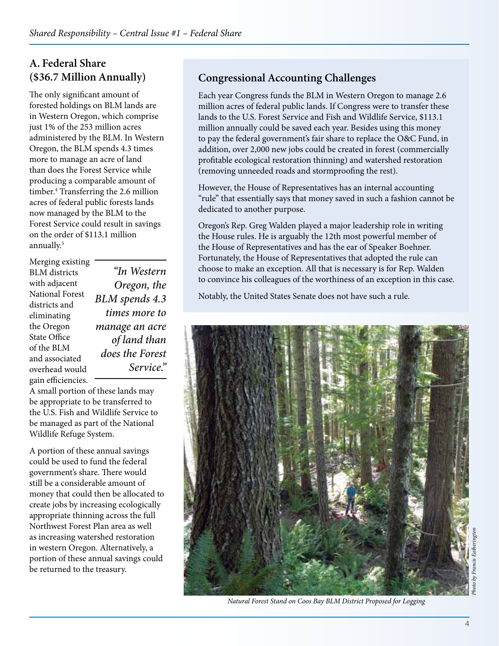#### **A. Federal Share (\$36.7 Million Annually)**

The only significant amount of forested holdings on BLM lands are in Western Oregon, which comprise just 1% of the 253 million acres administered by the BLM. In Western Oregon, the BLM spends 4.3 times more to manage an acre of land than does the Forest Service while producing a comparable amount of timber.4 Transferring the 2.6 million acres of federal public forests lands now managed by the BLM to the Forest Service could result in savings on the order of \$113.1 million annually.<sup>5</sup>

Merging existing BLM districts with adjacent National Forest districts and eliminating the Oregon State Office of the BLM and associated overhead would gain efficiencies.

"In Western Oregon, the BLM spends 4.3 times more to manage an acre of land than does the Forest Service."

A small portion of these lands may be appropriate to be transferred to the U.S. Fish and Wildlife Service to be managed as part of the National Wildlife Refuge System.

A portion of these annual savings could be used to fund the federal government's share. There would still be a considerable amount of money that could then be allocated to create jobs by increasing ecologically appropriate thinning across the full Northwest Forest Plan area as well as increasing watershed restoration in western Oregon. Alternatively, a portion of these annual savings could be returned to the treasury.

### **Congressional Accounting Challenges**

Each year Congress funds the BLM in Western Oregon to manage 2.6 million acres of federal public lands. If Congress were to transfer these lands to the U.S. Forest Service and Fish and Wildlife Service, \$113.1 million annually could be saved each year. Besides using this money to pay the federal government's fair share to replace the O&C Fund, in addition, over 2,000 new jobs could be created in forest (commercially profitable ecological restoration thinning) and watershed restoration (removing unneeded roads and stormproofing the rest).

However, the House of Representatives has an internal accounting "rule" that essentially says that money saved in such a fashion cannot be dedicated to another purpose.

Oregon's Rep. Greg Walden played a major leadership role in writing the House rules. He is arguably the 12th most powerful member of the House of Representatives and has the ear of Speaker Boehner. Fortunately, the House of Representatives that adopted the rule can choose to make an exception. All that is necessary is for Rep. Walden to convince his colleagues of the worthiness of an exception in this case.

Notably, the United States Senate does not have such a rule.



Natural Forest Stand on Coos Bay BLM District Proposed for Logging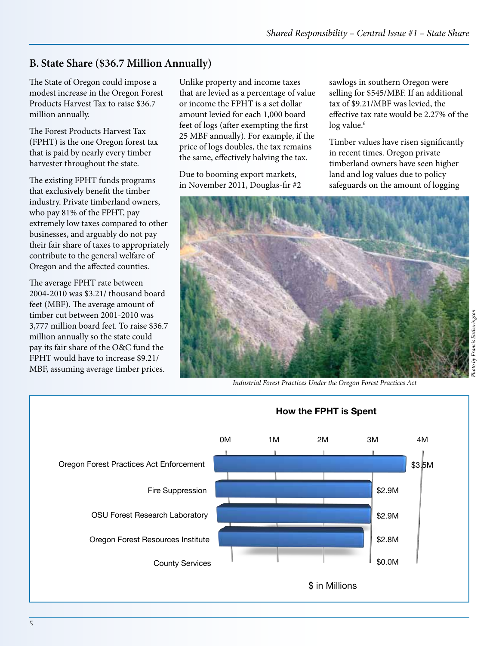#### **B. State Share (\$36.7 Million Annually)**

The State of Oregon could impose a modest increase in the Oregon Forest Products Harvest Tax to raise \$36.7 million annually.

The Forest Products Harvest Tax (FPHT) is the one Oregon forest tax that is paid by nearly every timber harvester throughout the state.

The existing FPHT funds programs that exclusively benefit the timber industry. Private timberland owners, who pay 81% of the FPHT, pay extremely low taxes compared to other businesses, and arguably do not pay their fair share of taxes to appropriately **Graph #1** contribute to the general wel**fare of spent** Oregon and the affected cou**ntig**s.

!e average FPHT rate between **Amount Percent** 2004-2010 was \$3.21/ thousand board feet (MgBF). Test Practices Action Hot Of ent (\$3% tim**bee Suppression \$2,900,402.00**0 was 24% 3,779 SHI florent Bes<del>ard (\$00eat. To ra</del>ise 3,904,708) <mark>;</mark> milliofPanhually <del>so yhe st</del>ate could ,783,**29**1 pay its fair share of the O.800 und the county Services FPHT would have to increase \$9.21/ \$12,101,700.00 100% MBF, assuming average timber prices.

Unlike property and income taxes that are levied as a percentage of value or income the FPHT is a set dollar amount levied for each 1,000 board feet of logs (after exempting the first 25 MBF annually). For example, if the price of logs doubles, the tax remains the same, effectively halving the tax.

Due to booming export markets, in November 2011, Douglas-fir #2 sawlogs in southern Oregon were selling for \$545/MBF. If an additional tax of \$9.21/MBF was levied, the effective tax rate would be 2.27% of the log value.<sup>6</sup>

Timber values have risen significantly in recent times. Oregon private timberland owners have seen higher land and log values due to policy safeguards on the amount of logging



Industrial Forest Practices Under the Oregon Forest Practices Act

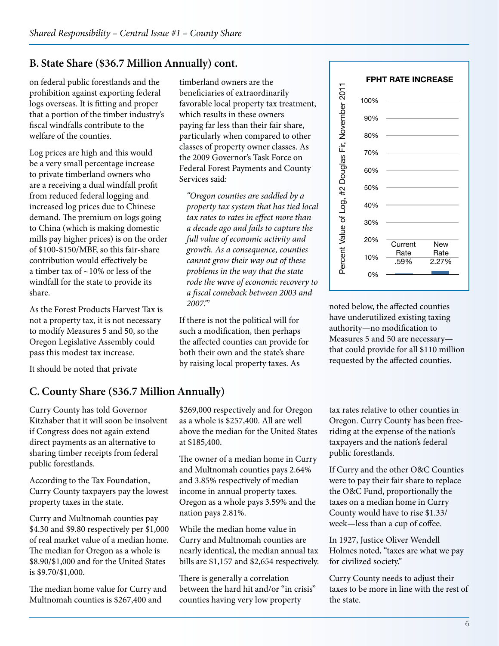#### **Graph #2**

#### **B. State Share (\$36.7 Million Annually) cont.**

The Y (vertical) axis, is a scale from 0% to 100%. The label for that axis should read: "Percent value of log"<br>The *f*edeorzonpulavis, has evid bare stated should be iabeled rund envirance sancerie value is 0.59%. Prosetondoar syabeled Total tengthe del elis 2.27% eneficiaries of extraordinarily The X (horizontal laxis, has two bars. The first should be labeled "Current Rate" sanct Itel value is 0.59%.

logs overseas. It is fitting and proper that a portion of the timber industry's fiscal windfalls contribute to the welfare of the counties.

Log prices are high and this would be a very small percentage increase to private timberland owners who are a receiving a dual windfall profit from reduced federal logging and increased log prices due to Chinese demand. The premium on logs going to China (which is making domestic mills pay higher prices) is on the order of \$100-\$150/MBF, so this fair-share contribution would effectively be a timber tax of  $\sim$ 10% or less of the windfall for the state to provide its share.

As the Forest Products Harvest Tax is not a property tax, it is not necessary to modify Measures 5 and 50, so the Oregon Legislative Assembly could pass this modest tax increase.

It should be noted that private

#### **C. County Share (\$36.7 Million Annually)**

Curry County has told Governor Kitzhaber that it will soon be insolvent if Congress does not again extend direct payments as an alternative to sharing timber receipts from federal public forestlands.

According to the Tax Foundation, Curry County taxpayers pay the lowest property taxes in the state.

Curry and Multnomah counties pay \$4.30 and \$9.80 respectively per \$1,000 of real market value of a median home. The median for Oregon as a whole is \$8.90/\$1,000 and for the United States is \$9.70/\$1,000.

The median home value for Curry and Multnomah counties is \$267,400 and

favorable local property tax treatment, whi**ch** results in these owners paying far less than their fair share, particularly when compared to other classes of property owner classes. As the 2009 Governor's Task Force on Federal Forest Payments and County Services said:

"Oregon counties are saddled by a property tax system that has tied local tax rates to rates in effect more than a decade ago and fails to capture the full value of economic activity and growth. As a consequence, counties cannot grow their way out of these problems in the way that the state rode the wave of economic recovery to a fiscal comeback between 2003 and 2007."<sup>7</sup>

If there is not the political will for such a modification, then perhaps the affected counties can provide for both their own and the state's share by raising local property taxes. As

noted below, the affected counties have underutilized existing taxing authority—no modification to Measures 5 and 50 are necessary that could provide for all \$110 million requested by the affected counties.

\$269,000 respectively and for Oregon as a whole is \$257,400. All are well above the median for the United States at \$185,400.

The owner of a median home in Curry and Multnomah counties pays 2.64% and 3.85% respectively of median income in annual property taxes. Oregon as a whole pays 3.59% and the nation pays 2.81%.

While the median home value in Curry and Multnomah counties are nearly identical, the median annual tax bills are \$1,157 and \$2,654 respectively.

There is generally a correlation between the hard hit and/or "in crisis" counties having very low property

tax rates relative to other counties in Oregon. Curry County has been freeriding at the expense of the nation's taxpayers and the nation's federal public forestlands.

If Curry and the other O&C Counties were to pay their fair share to replace the O&C Fund, proportionally the taxes on a median home in Curry County would have to rise \$1.33/ week—less than a cup of coffee.

In 1927, Justice Oliver Wendell Holmes noted, "taxes are what we pay for civilized society."

Curry County needs to adjust their taxes to be more in line with the rest of the state.

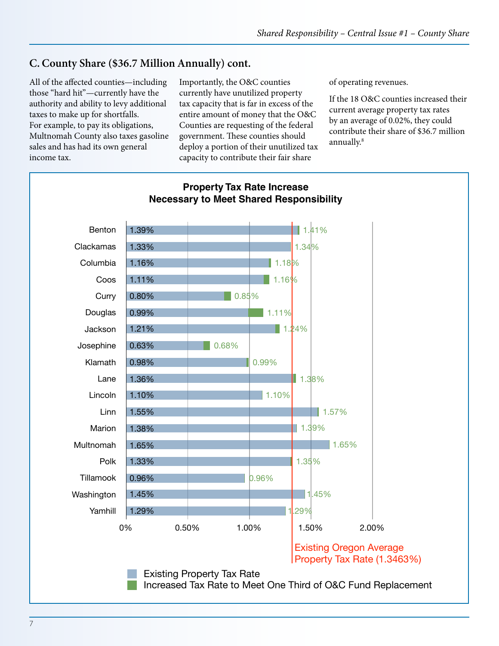#### **C. County Share (\$36.7 Million Annually) cont.**

All of the affected counties—including those "hard hit"—currently have the authority and ability to levy additional taxes to make up for shortfalls. For example, to pay its obligations, Multnomah County also taxes gasoline sales and has had its own general values in Column Cx.

Importantly, the O&C counties currently have unutilized property tax capacity that is far in excess of the entire amount of money that the O&C Counties are requesting of the federal government. These counties should deploy a portion of their unutilized tax capacity to contribute their fair share

of operating revenues.

If the 18 O&C counties increased their current average property tax rates by an average of 0.02%, they could contribute their share of \$36.7 million annually.8

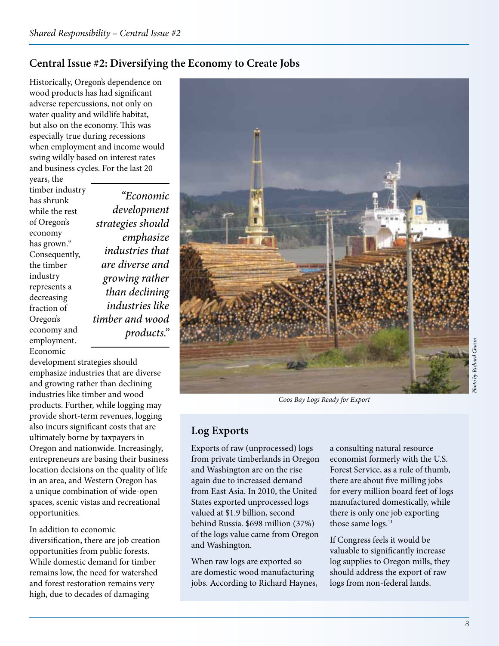## **Central Issue #2: Diversifying the Economy to Create Jobs**

Historically, Oregon's dependence on wood products has had significant adverse repercussions, not only on water quality and wildlife habitat, but also on the economy. This was especially true during recessions when employment and income would swing wildly based on interest rates and business cycles. For the last 20

years, the timber industry has shrunk while the rest of Oregon's economy has grown.<sup>9</sup> Consequently, the timber industry represents a decreasing fraction of Oregon's economy and employment. Economic

"Economic development strategies should emphasize industries that are diverse and growing rather than declining industries like timber and wood products."

development strategies should emphasize industries that are diverse and growing rather than declining industries like timber and wood products. Further, while logging may provide short-term revenues, logging also incurs significant costs that are ultimately borne by taxpayers in Oregon and nationwide. Increasingly, entrepreneurs are basing their business location decisions on the quality of life in an area, and Western Oregon has a unique combination of wide-open spaces, scenic vistas and recreational opportunities.

In addition to economic diversification, there are job creation opportunities from public forests. While domestic demand for timber remains low, the need for watershed and forest restoration remains very high, due to decades of damaging



Coos Bay Logs Ready for Export

#### **Log Exports**

Exports of raw (unprocessed) logs from private timberlands in Oregon and Washington are on the rise again due to increased demand from East Asia. In 2010, the United States exported unprocessed logs valued at \$1.9 billion, second behind Russia. \$698 million (37%) of the logs value came from Oregon and Washington.

When raw logs are exported so are domestic wood manufacturing jobs. According to Richard Haynes, a consulting natural resource economist formerly with the U.S. Forest Service, as a rule of thumb, there are about five milling jobs for every million board feet of logs manufactured domestically, while there is only one job exporting those same logs.<sup>11</sup>

If Congress feels it would be valuable to significantly increase log supplies to Oregon mills, they should address the export of raw logs from non-federal lands.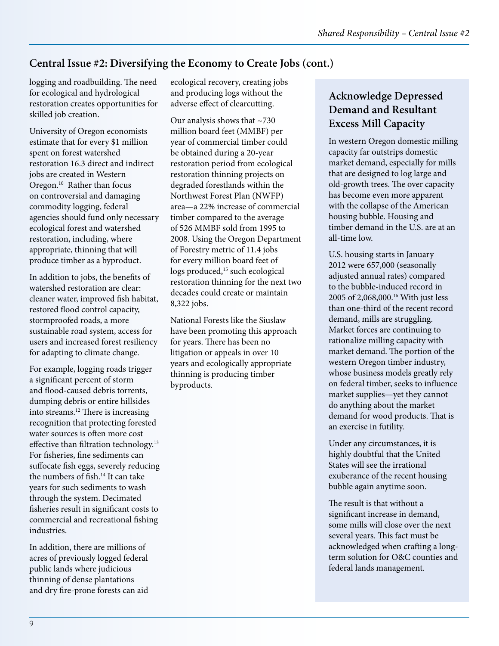## **Central Issue #2: Diversifying the Economy to Create Jobs (cont.)**

logging and roadbuilding. The need for ecological and hydrological restoration creates opportunities for skilled job creation.

University of Oregon economists estimate that for every \$1 million spent on forest watershed restoration 16.3 direct and indirect jobs are created in Western Oregon.<sup>10</sup> Rather than focus on controversial and damaging commodity logging, federal agencies should fund only necessary ecological forest and watershed restoration, including, where appropriate, thinning that will produce timber as a byproduct.

In addition to jobs, the benefits of watershed restoration are clear: cleaner water, improved fish habitat, restored flood control capacity, stormproofed roads, a more sustainable road system, access for users and increased forest resiliency for adapting to climate change.

For example, logging roads trigger a significant percent of storm and flood-caused debris torrents, dumping debris or entire hillsides into streams.<sup>12</sup> There is increasing recognition that protecting forested water sources is often more cost effective than filtration technology.<sup>13</sup> For fisheries, fine sediments can suffocate fish eggs, severely reducing the numbers of fish.<sup>14</sup> It can take years for such sediments to wash through the system. Decimated fisheries result in significant costs to commercial and recreational fishing industries.

In addition, there are millions of acres of previously logged federal public lands where judicious thinning of dense plantations and dry fire-prone forests can aid

ecological recovery, creating jobs and producing logs without the adverse effect of clearcutting.

Our analysis shows that ~730 million board feet (MMBF) per year of commercial timber could be obtained during a 20-year restoration period from ecological restoration thinning projects on degraded forestlands within the Northwest Forest Plan (NWFP) area—a 22% increase of commercial timber compared to the average of 526 MMBF sold from 1995 to 2008. Using the Oregon Department of Forestry metric of 11.4 jobs for every million board feet of logs produced,<sup>15</sup> such ecological restoration thinning for the next two decades could create or maintain 8,322 jobs.

National Forests like the Siuslaw have been promoting this approach for years. There has been no litigation or appeals in over 10 years and ecologically appropriate thinning is producing timber byproducts.

## **Acknowledge Depressed Demand and Resultant Excess Mill Capacity**

In western Oregon domestic milling capacity far outstrips domestic market demand, especially for mills that are designed to log large and old-growth trees. The over capacity has become even more apparent with the collapse of the American housing bubble. Housing and timber demand in the U.S. are at an all-time low.

U.S. housing starts in January 2012 were 657,000 (seasonally adjusted annual rates) compared to the bubble-induced record in 2005 of 2,068,000.16 With just less than one-third of the recent record demand, mills are struggling. Market forces are continuing to rationalize milling capacity with market demand. The portion of the western Oregon timber industry, whose business models greatly rely on federal timber, seeks to influence market supplies—yet they cannot do anything about the market demand for wood products. That is an exercise in futility.

Under any circumstances, it is highly doubtful that the United States will see the irrational exuberance of the recent housing bubble again anytime soon.

The result is that without a significant increase in demand, some mills will close over the next several years. This fact must be acknowledged when crafting a longterm solution for O&C counties and federal lands management.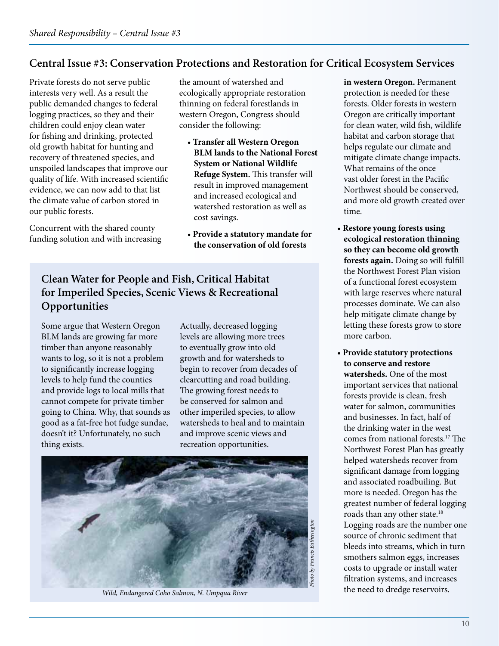#### **Central Issue #3: Conservation Protections and Restoration for Critical Ecosystem Services**

Private forests do not serve public interests very well. As a result the public demanded changes to federal logging practices, so they and their children could enjoy clean water for fishing and drinking, protected old growth habitat for hunting and recovery of threatened species, and unspoiled landscapes that improve our quality of life. With increased scientific evidence, we can now add to that list the climate value of carbon stored in our public forests.

Concurrent with the shared county funding solution and with increasing

the amount of watershed and ecologically appropriate restoration thinning on federal forestlands in western Oregon, Congress should consider the following:

- **Transfer all Western Oregon BLM lands to the National Forest System or National Wildlife Refuge System.** This transfer will result in improved management and increased ecological and watershed restoration as well as cost savings.
- **Provide a statutory mandate for the conservation of old forests**

#### **Clean Water for People and Fish, Critical Habitat for Imperiled Species, Scenic Views & Recreational Opportunities**

Some argue that Western Oregon BLM lands are growing far more timber than anyone reasonably wants to log, so it is not a problem to significantly increase logging levels to help fund the counties and provide logs to local mills that cannot compete for private timber going to China. Why, that sounds as good as a fat-free hot fudge sundae, doesn't it? Unfortunately, no such thing exists.

Actually, decreased logging levels are allowing more trees to eventually grow into old growth and for watersheds to begin to recover from decades of clearcutting and road building. The growing forest needs to be conserved for salmon and other imperiled species, to allow watersheds to heal and to maintain and improve scenic views and recreation opportunities.



Wild, Endangered Coho Salmon, N. Umpqua River

**in western Oregon.** Permanent protection is needed for these forests. Older forests in western Oregon are critically important for clean water, wild fish, wildlife habitat and carbon storage that helps regulate our climate and mitigate climate change impacts. What remains of the once vast older forest in the Pacific Northwest should be conserved, and more old growth created over time.

- t**Restore young forests using ecological restoration thinning so they can become old growth**  forests again. Doing so will fulfill the Northwest Forest Plan vision of a functional forest ecosystem with large reserves where natural processes dominate. We can also help mitigate climate change by letting these forests grow to store more carbon.
- **Provide statutory protections to conserve and restore watersheds.** One of the most important services that national forests provide is clean, fresh water for salmon, communities and businesses. In fact, half of the drinking water in the west comes from national forests.<sup>17</sup> The Northwest Forest Plan has greatly helped watersheds recover from significant damage from logging and associated roadbuiling. But more is needed. Oregon has the greatest number of federal logging roads than any other state.<sup>18</sup> Logging roads are the number one source of chronic sediment that bleeds into streams, which in turn smothers salmon eggs, increases costs to upgrade or install water filtration systems, and increases the need to dredge reservoirs.